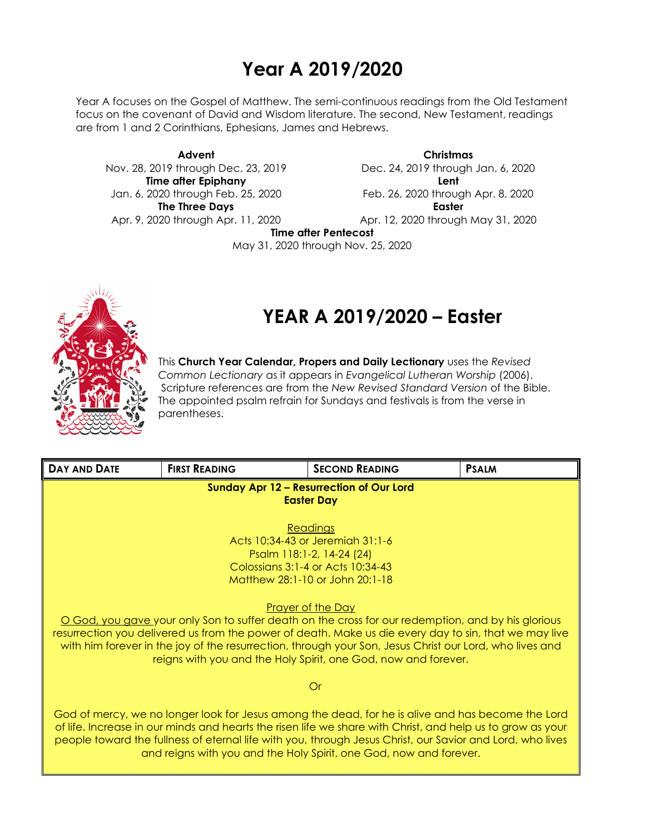## **Year A 2019/2020**

Year A focuses on the Gospel of Matthew. The semi-continuous readings from the Old Testament focus on the covenant of David and Wisdom literature. The second, New Testament, readings are from 1 and 2 Corinthians, Ephesians, James and Hebrews.

**Advent** Nov. 28, 2019 through Dec. 23, 2019 **Time after Epiphany** Jan. 6, 2020 through Feb. 25, 2020 **The Three Days** Apr. 9, 2020 through Apr. 11, 2020

**Christmas** Dec. 24, 2019 through Jan. 6, 2020 **Lent** Feb. 26, 2020 through Apr. 8, 2020 **Easter** Apr. 12, 2020 through May 31, 2020

**Time after Pentecost**

May 31, 2020 through Nov. 25, 2020



# **YEAR A 2019/2020 – Easter**

This **Church Year Calendar, Propers and Daily Lectionary** uses the *Revised Common Lectionary* as it appears in *Evangelical Lutheran Worship* (2006). Scripture references are from the *New Revised Standard Version* of the Bible. The appointed psalm refrain for Sundays and festivals is from the verse in parentheses.

| <b>DAY AND DATE</b>                                                                                                                                                                                                                                                                                                                                                                                | <b>FIRST READING</b>                                           | <b>SECOND READING</b>                                                                                   | <b>PSALM</b> |  |  |
|----------------------------------------------------------------------------------------------------------------------------------------------------------------------------------------------------------------------------------------------------------------------------------------------------------------------------------------------------------------------------------------------------|----------------------------------------------------------------|---------------------------------------------------------------------------------------------------------|--------------|--|--|
| <b>Sunday Apr 12 - Resurrection of Our Lord</b><br><b>Easter Day</b>                                                                                                                                                                                                                                                                                                                               |                                                                |                                                                                                         |              |  |  |
|                                                                                                                                                                                                                                                                                                                                                                                                    |                                                                | Readings                                                                                                |              |  |  |
|                                                                                                                                                                                                                                                                                                                                                                                                    |                                                                | Acts 10:34-43 or Jeremiah 31:1-6                                                                        |              |  |  |
|                                                                                                                                                                                                                                                                                                                                                                                                    |                                                                | Psalm 118:1-2, 14-24 (24)                                                                               |              |  |  |
|                                                                                                                                                                                                                                                                                                                                                                                                    |                                                                | Colossians 3:1-4 or Acts 10:34-43                                                                       |              |  |  |
|                                                                                                                                                                                                                                                                                                                                                                                                    |                                                                | Matthew 28:1-10 or John 20:1-18                                                                         |              |  |  |
|                                                                                                                                                                                                                                                                                                                                                                                                    |                                                                | <b>Prayer of the Day</b>                                                                                |              |  |  |
|                                                                                                                                                                                                                                                                                                                                                                                                    |                                                                | O God, you gave your only Son to suffer death on the cross for our redemption, and by his glorious      |              |  |  |
|                                                                                                                                                                                                                                                                                                                                                                                                    |                                                                | resurrection you delivered us from the power of death. Make us die every day to sin, that we may live   |              |  |  |
|                                                                                                                                                                                                                                                                                                                                                                                                    |                                                                | with him forever in the joy of the resurrection, through your Son, Jesus Christ our Lord, who lives and |              |  |  |
|                                                                                                                                                                                                                                                                                                                                                                                                    | reigns with you and the Holy Spirit, one God, now and forever. |                                                                                                         |              |  |  |
| Or                                                                                                                                                                                                                                                                                                                                                                                                 |                                                                |                                                                                                         |              |  |  |
| God of mercy, we no longer look for Jesus among the dead, for he is alive and has become the Lord<br>of life. Increase in our minds and hearts the risen life we share with Christ, and help us to grow as your<br>people toward the fullness of eternal life with you, through Jesus Christ, our Savior and Lord, who lives<br>and reigns with you and the Holy Spirit, one God, now and forever. |                                                                |                                                                                                         |              |  |  |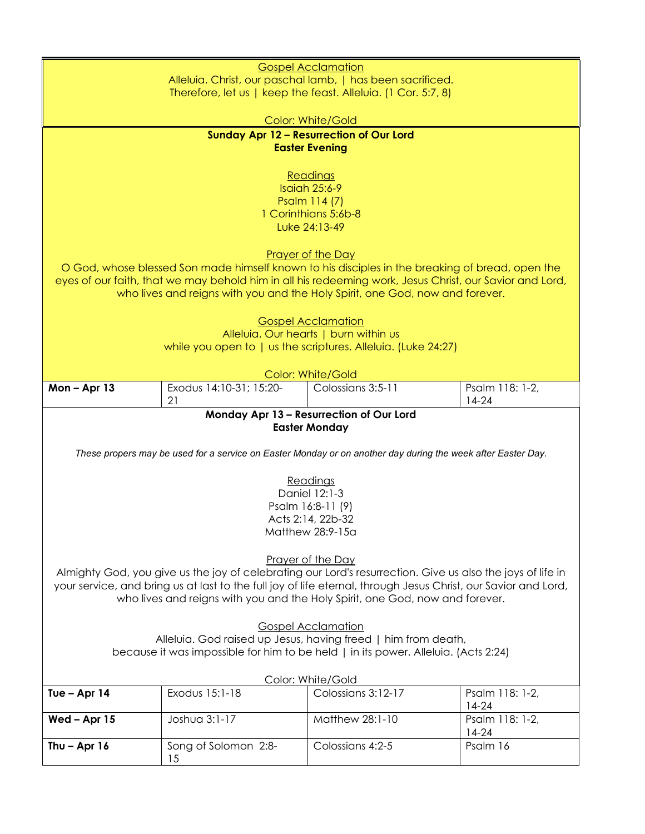|                                                                                                                                                                                                                              |                         | <b>Gospel Acclamation</b>                                                                                    |                 |  |  |  |
|------------------------------------------------------------------------------------------------------------------------------------------------------------------------------------------------------------------------------|-------------------------|--------------------------------------------------------------------------------------------------------------|-----------------|--|--|--|
|                                                                                                                                                                                                                              |                         | Alleluia. Christ, our paschal lamb,   has been sacrificed.                                                   |                 |  |  |  |
|                                                                                                                                                                                                                              |                         | Therefore, let us   keep the feast. Alleluia. (1 Cor. 5:7, 8)                                                |                 |  |  |  |
|                                                                                                                                                                                                                              |                         | <b>Color: White/Gold</b>                                                                                     |                 |  |  |  |
|                                                                                                                                                                                                                              |                         | <b>Sunday Apr 12 - Resurrection of Our Lord</b>                                                              |                 |  |  |  |
|                                                                                                                                                                                                                              |                         | <b>Easter Evening</b>                                                                                        |                 |  |  |  |
|                                                                                                                                                                                                                              |                         |                                                                                                              |                 |  |  |  |
|                                                                                                                                                                                                                              |                         | Readings                                                                                                     |                 |  |  |  |
|                                                                                                                                                                                                                              |                         | <b>Isaiah 25:6-9</b>                                                                                         |                 |  |  |  |
|                                                                                                                                                                                                                              |                         | Psalm 114 (7)<br>1 Corinthians 5:6b-8                                                                        |                 |  |  |  |
|                                                                                                                                                                                                                              |                         | Luke 24:13-49                                                                                                |                 |  |  |  |
|                                                                                                                                                                                                                              |                         |                                                                                                              |                 |  |  |  |
|                                                                                                                                                                                                                              |                         | <b>Prayer of the Day</b>                                                                                     |                 |  |  |  |
|                                                                                                                                                                                                                              |                         | O God, whose blessed Son made himself known to his disciples in the breaking of bread, open the              |                 |  |  |  |
|                                                                                                                                                                                                                              |                         | eyes of our faith, that we may behold him in all his redeeming work, Jesus Christ, our Savior and Lord,      |                 |  |  |  |
|                                                                                                                                                                                                                              |                         | who lives and reigns with you and the Holy Spirit, one God, now and forever.                                 |                 |  |  |  |
|                                                                                                                                                                                                                              |                         |                                                                                                              |                 |  |  |  |
|                                                                                                                                                                                                                              |                         | <b>Gospel Acclamation</b><br>Alleluia. Our hearts   burn within us                                           |                 |  |  |  |
|                                                                                                                                                                                                                              |                         | while you open to   us the scriptures. Alleluia. (Luke 24:27)                                                |                 |  |  |  |
|                                                                                                                                                                                                                              |                         |                                                                                                              |                 |  |  |  |
|                                                                                                                                                                                                                              |                         | <b>Color: White/Gold</b>                                                                                     |                 |  |  |  |
| Mon-Apr 13                                                                                                                                                                                                                   | Exodus 14:10-31; 15:20- | Colossians 3:5-11                                                                                            | Psalm 118: 1-2, |  |  |  |
|                                                                                                                                                                                                                              | 21                      |                                                                                                              | $14-24$         |  |  |  |
|                                                                                                                                                                                                                              |                         | Monday Apr 13 - Resurrection of Our Lord                                                                     |                 |  |  |  |
|                                                                                                                                                                                                                              |                         | <b>Easter Monday</b>                                                                                         |                 |  |  |  |
|                                                                                                                                                                                                                              |                         | These propers may be used for a service on Easter Monday or on another day during the week after Easter Day. |                 |  |  |  |
|                                                                                                                                                                                                                              |                         |                                                                                                              |                 |  |  |  |
|                                                                                                                                                                                                                              |                         | Readings                                                                                                     |                 |  |  |  |
|                                                                                                                                                                                                                              |                         | Daniel 12:1-3                                                                                                |                 |  |  |  |
|                                                                                                                                                                                                                              |                         | Psalm 16:8-11 (9)                                                                                            |                 |  |  |  |
| Acts 2:14, 22b-32<br>Matthew 28:9-15a                                                                                                                                                                                        |                         |                                                                                                              |                 |  |  |  |
|                                                                                                                                                                                                                              |                         |                                                                                                              |                 |  |  |  |
|                                                                                                                                                                                                                              |                         | Prayer of the Day                                                                                            |                 |  |  |  |
|                                                                                                                                                                                                                              |                         |                                                                                                              |                 |  |  |  |
| Almighty God, you give us the joy of celebrating our Lord's resurrection. Give us also the joys of life in<br>your service, and bring us at last to the full joy of life eternal, through Jesus Christ, our Savior and Lord, |                         |                                                                                                              |                 |  |  |  |
| who lives and reigns with you and the Holy Spirit, one God, now and forever.                                                                                                                                                 |                         |                                                                                                              |                 |  |  |  |
|                                                                                                                                                                                                                              |                         |                                                                                                              |                 |  |  |  |
| <b>Gospel Acclamation</b>                                                                                                                                                                                                    |                         |                                                                                                              |                 |  |  |  |
| Alleluia. God raised up Jesus, having freed   him from death,<br>because it was impossible for him to be held   in its power. Alleluia. (Acts 2:24)                                                                          |                         |                                                                                                              |                 |  |  |  |
|                                                                                                                                                                                                                              |                         |                                                                                                              |                 |  |  |  |
| Color: White/Gold                                                                                                                                                                                                            |                         |                                                                                                              |                 |  |  |  |
| Tue $-$ Apr 14                                                                                                                                                                                                               | Exodus 15:1-18          | Colossians 3:12-17                                                                                           | Psalm 118: 1-2, |  |  |  |
|                                                                                                                                                                                                                              |                         |                                                                                                              | $14-24$         |  |  |  |
| Wed-Apr 15                                                                                                                                                                                                                   | Joshua 3:1-17           | Matthew 28:1-10                                                                                              | Psalm 118: 1-2, |  |  |  |
|                                                                                                                                                                                                                              |                         |                                                                                                              | $14-24$         |  |  |  |
| Thu $-$ Apr 16                                                                                                                                                                                                               | Song of Solomon 2:8-    | Colossians 4:2-5                                                                                             | Psalm 16        |  |  |  |
|                                                                                                                                                                                                                              | 15                      |                                                                                                              |                 |  |  |  |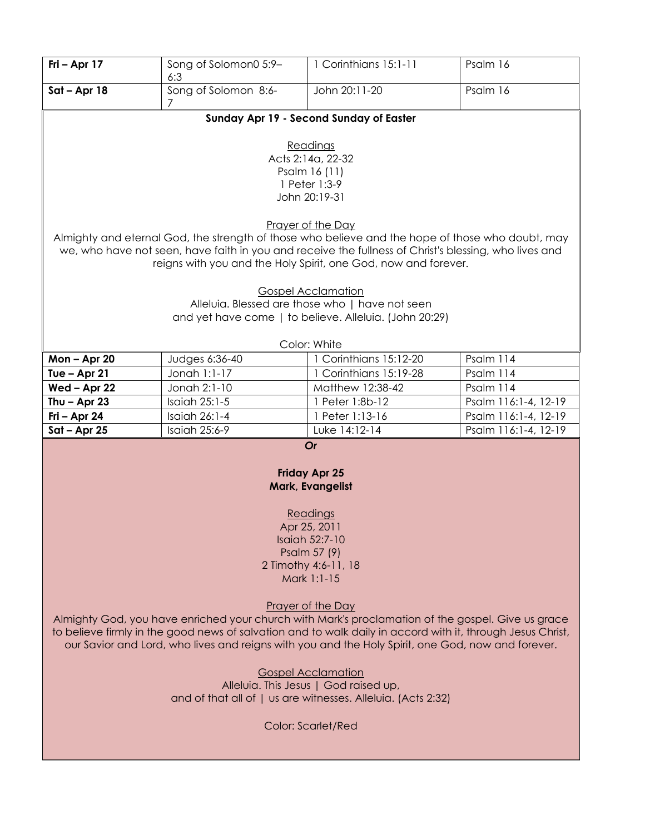| Fri - Apr 17                                                                                               | Song of Solomon0 5:9-<br>6:3                                                          | 1 Corinthians 15:1-11                                                                                 | Psalm 16             |  |  |  |
|------------------------------------------------------------------------------------------------------------|---------------------------------------------------------------------------------------|-------------------------------------------------------------------------------------------------------|----------------------|--|--|--|
| $Sat - Apr 18$                                                                                             | Song of Solomon 8:6-<br>7                                                             | John 20:11-20                                                                                         | Psalm 16             |  |  |  |
|                                                                                                            |                                                                                       | Sunday Apr 19 - Second Sunday of Easter                                                               |                      |  |  |  |
|                                                                                                            |                                                                                       |                                                                                                       |                      |  |  |  |
|                                                                                                            |                                                                                       | Readings<br>Acts 2:14a, 22-32                                                                         |                      |  |  |  |
|                                                                                                            |                                                                                       | Psalm 16 (11)                                                                                         |                      |  |  |  |
|                                                                                                            |                                                                                       | 1 Peter 1:3-9                                                                                         |                      |  |  |  |
|                                                                                                            |                                                                                       | John 20:19-31                                                                                         |                      |  |  |  |
|                                                                                                            |                                                                                       | Prayer of the Day                                                                                     |                      |  |  |  |
|                                                                                                            |                                                                                       | Almighty and eternal God, the strength of those who believe and the hope of those who doubt, may      |                      |  |  |  |
|                                                                                                            |                                                                                       | we, who have not seen, have faith in you and receive the fullness of Christ's blessing, who lives and |                      |  |  |  |
|                                                                                                            |                                                                                       | reigns with you and the Holy Spirit, one God, now and forever.                                        |                      |  |  |  |
|                                                                                                            |                                                                                       |                                                                                                       |                      |  |  |  |
|                                                                                                            |                                                                                       | <b>Gospel Acclamation</b><br>Alleluia. Blessed are those who   have not seen                          |                      |  |  |  |
|                                                                                                            |                                                                                       | and yet have come   to believe. Alleluia. (John 20:29)                                                |                      |  |  |  |
|                                                                                                            |                                                                                       |                                                                                                       |                      |  |  |  |
|                                                                                                            |                                                                                       | Color: White                                                                                          |                      |  |  |  |
| Mon-Apr 20                                                                                                 | Judges 6:36-40                                                                        | Corinthians 15:12-20                                                                                  | Psalm 114            |  |  |  |
| Tue $-$ Apr 21                                                                                             | Jonah 1:1-17                                                                          | 1 Corinthians 15:19-28                                                                                | Psalm 114            |  |  |  |
| Wed - Apr 22                                                                                               | Jonah 2:1-10                                                                          | Matthew 12:38-42                                                                                      | Psalm 114            |  |  |  |
| Thu $-$ Apr 23                                                                                             | Isaiah 25:1-5                                                                         | 1 Peter 1:8b-12                                                                                       | Psalm 116:1-4, 12-19 |  |  |  |
| Fri - Apr 24                                                                                               | Isaiah 26:1-4                                                                         | 1 Peter 1:13-16                                                                                       | Psalm 116:1-4, 12-19 |  |  |  |
|                                                                                                            | Psalm 116:1-4, 12-19<br>$Sat - Apr 25$<br>Isaiah 25:6-9<br>Luke 14:12-14<br><b>Or</b> |                                                                                                       |                      |  |  |  |
|                                                                                                            |                                                                                       |                                                                                                       |                      |  |  |  |
|                                                                                                            |                                                                                       | <b>Friday Apr 25</b>                                                                                  |                      |  |  |  |
|                                                                                                            |                                                                                       | Mark, Evangelist                                                                                      |                      |  |  |  |
|                                                                                                            |                                                                                       | Readings                                                                                              |                      |  |  |  |
|                                                                                                            |                                                                                       | Apr 25, 2011                                                                                          |                      |  |  |  |
|                                                                                                            |                                                                                       | Isaiah 52:7-10                                                                                        |                      |  |  |  |
|                                                                                                            |                                                                                       | Psalm 57 (9)                                                                                          |                      |  |  |  |
| 2 Timothy 4:6-11, 18                                                                                       |                                                                                       |                                                                                                       |                      |  |  |  |
| Mark 1:1-15                                                                                                |                                                                                       |                                                                                                       |                      |  |  |  |
| Prayer of the Day                                                                                          |                                                                                       |                                                                                                       |                      |  |  |  |
| Almighty God, you have enriched your church with Mark's proclamation of the gospel. Give us grace          |                                                                                       |                                                                                                       |                      |  |  |  |
| to believe firmly in the good news of salvation and to walk daily in accord with it, through Jesus Christ, |                                                                                       |                                                                                                       |                      |  |  |  |
| our Savior and Lord, who lives and reigns with you and the Holy Spirit, one God, now and forever.          |                                                                                       |                                                                                                       |                      |  |  |  |
| <b>Gospel Acclamation</b>                                                                                  |                                                                                       |                                                                                                       |                      |  |  |  |
| Alleluia. This Jesus   God raised up,                                                                      |                                                                                       |                                                                                                       |                      |  |  |  |
| and of that all of   us are witnesses. Alleluia. (Acts 2:32)                                               |                                                                                       |                                                                                                       |                      |  |  |  |
|                                                                                                            |                                                                                       |                                                                                                       |                      |  |  |  |
| <b>Color: Scarlet/Red</b>                                                                                  |                                                                                       |                                                                                                       |                      |  |  |  |
|                                                                                                            |                                                                                       |                                                                                                       |                      |  |  |  |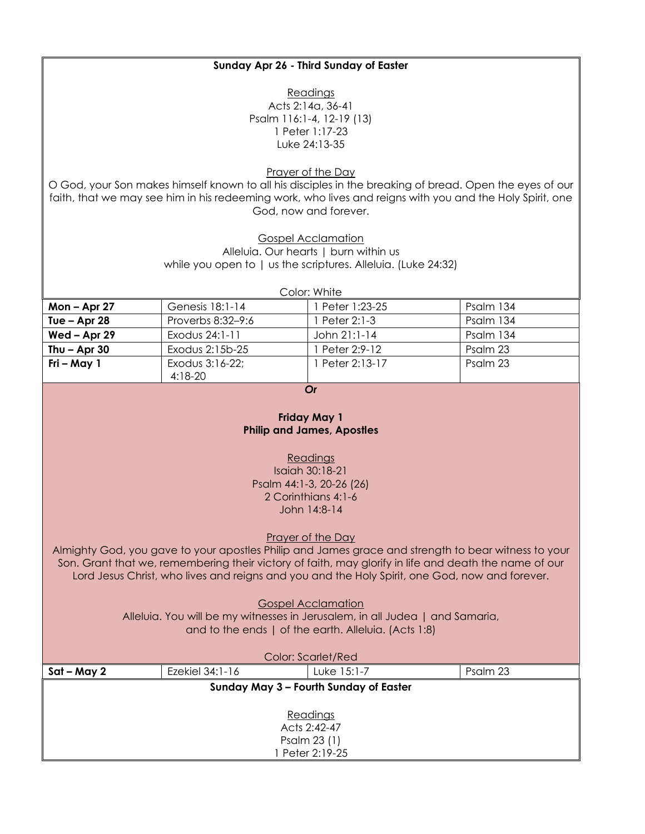| Sunday Apr 26 - Third Sunday of Easter                                                         |                              |                                                                                                                                                                                                                                                                          |           |  |
|------------------------------------------------------------------------------------------------|------------------------------|--------------------------------------------------------------------------------------------------------------------------------------------------------------------------------------------------------------------------------------------------------------------------|-----------|--|
| Readings<br>Acts 2:14a, 36-41<br>Psalm 116:1-4, 12-19 (13)<br>1 Peter 1:17-23<br>Luke 24:13-35 |                              |                                                                                                                                                                                                                                                                          |           |  |
|                                                                                                |                              | <b>Prayer of the Day</b><br>O God, your Son makes himself known to all his disciples in the breaking of bread. Open the eyes of our<br>faith, that we may see him in his redeeming work, who lives and reigns with you and the Holy Spirit, one<br>God, now and forever. |           |  |
|                                                                                                |                              | <b>Gospel Acclamation</b><br>Alleluia. Our hearts   burn within us<br>while you open to   us the scriptures. Alleluia. (Luke 24:32)<br>Color: White                                                                                                                      |           |  |
| Mon – Apr 27                                                                                   | Genesis 18:1-14              | 1 Peter 1:23-25                                                                                                                                                                                                                                                          | Psalm 134 |  |
| Tue - Apr 28                                                                                   | Proverbs 8:32-9:6            | 1 Peter 2:1-3                                                                                                                                                                                                                                                            | Psalm 134 |  |
| Wed - Apr 29                                                                                   | Exodus 24:1-11               | John 21:1-14                                                                                                                                                                                                                                                             | Psalm 134 |  |
| Thu $-$ Apr 30                                                                                 | Exodus 2:15b-25              | 1 Peter 2:9-12                                                                                                                                                                                                                                                           | Psalm 23  |  |
| Fri – May 1                                                                                    | Exodus 3:16-22;<br>$4:18-20$ | 1 Peter 2:13-17                                                                                                                                                                                                                                                          | Psalm 23  |  |
| Or                                                                                             |                              |                                                                                                                                                                                                                                                                          |           |  |
| <b>Friday May 1</b><br><b>Philip and James, Apostles</b>                                       |                              |                                                                                                                                                                                                                                                                          |           |  |
| Readings<br>Isaiah 30:18-21<br>Psalm 44:1-3, 20-26 (26)                                        |                              |                                                                                                                                                                                                                                                                          |           |  |

2 Corinthians 4:1-6 John 14:8-14

Prayer of the Day

Almighty God, you gave to your apostles Philip and James grace and strength to bear witness to your Son. Grant that we, remembering their victory of faith, may glorify in life and death the name of our Lord Jesus Christ, who lives and reigns and you and the Holy Spirit, one God, now and forever.

Gospel Acclamation

Alleluia. You will be my witnesses in Jerusalem, in all Judea | and Samaria, and to the ends | of the earth. Alleluia. (Acts 1:8)

| <b>Color: Scarlet/Red</b> |                 |                                        |          |  |
|---------------------------|-----------------|----------------------------------------|----------|--|
| Sat – May 2               | Ezekiel 34:1-16 | Luke 15:1-7                            | Psalm 23 |  |
|                           |                 | Sunday May 3 - Fourth Sunday of Easter |          |  |
|                           |                 |                                        |          |  |
| Readings                  |                 |                                        |          |  |
| Acts 2:42-47              |                 |                                        |          |  |
| Psalm 23 (1)              |                 |                                        |          |  |
| Peter 2:19-25             |                 |                                        |          |  |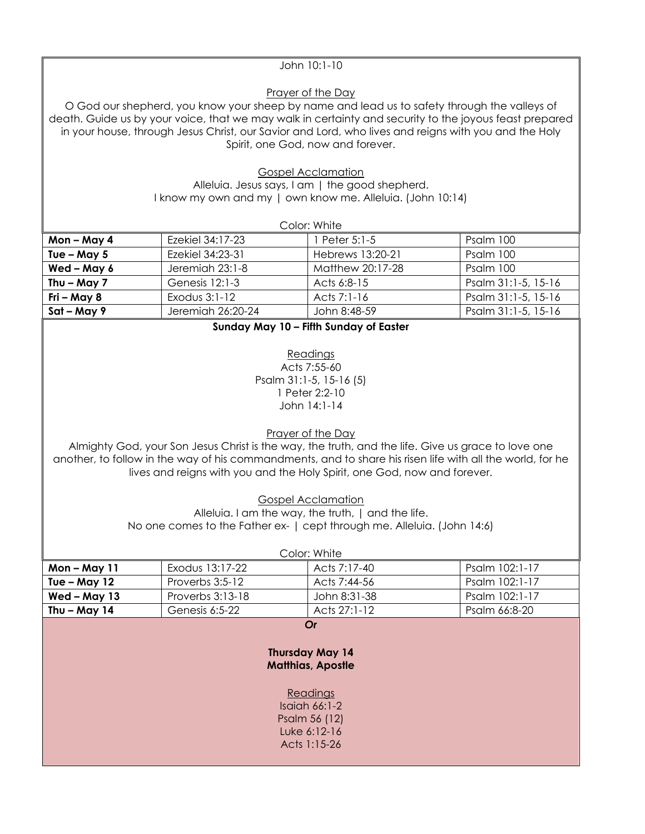## John 10:1-10

### Prayer of the Day

O God our shepherd, you know your sheep by name and lead us to safety through the valleys of death. Guide us by your voice, that we may walk in certainty and security to the joyous feast prepared in your house, through Jesus Christ, our Savior and Lord, who lives and reigns with you and the Holy Spirit, one God, now and forever.

> Gospel Acclamation Alleluia. Jesus says, I am | the good shepherd. I know my own and my | own know me. Alleluia. (John 10:14)

| Color: White  |                   |                  |                     |  |
|---------------|-------------------|------------------|---------------------|--|
| Mon-May 4     | Ezekiel 34:17-23  | l Peter 5:1-5    | Psalm 100           |  |
| Tue – May $5$ | Ezekiel 34:23-31  | Hebrews 13:20-21 | Psalm 100           |  |
| Wed - May 6   | Jeremiah 23:1-8   | Matthew 20:17-28 | Psalm 100           |  |
| Thu $-$ May 7 | Genesis 12:1-3    | Acts 6:8-15      | Psalm 31:1-5, 15-16 |  |
| Fri – May 8   | Exodus $3:1-12$   | Acts $7:1-16$    | Psalm 31:1-5, 15-16 |  |
| Sat - May 9   | Jeremiah 26:20-24 | John 8:48-59     | Psalm 31:1-5, 15-16 |  |

Readings Acts 7:55-60 Psalm 31:1-5, 15-16 (5) 1 Peter 2:2-10 John 14:1-14

Prayer of the Day

Almighty God, your Son Jesus Christ is the way, the truth, and the life. Give us grace to love one another, to follow in the way of his commandments, and to share his risen life with all the world, for he lives and reigns with you and the Holy Spirit, one God, now and forever.

Gospel Acclamation

Alleluia. I am the way, the truth, | and the life. No one comes to the Father ex- | cept through me. Alleluia. (John 14:6)

| Color: White   |                  |                                                                                                                            |                |  |
|----------------|------------------|----------------------------------------------------------------------------------------------------------------------------|----------------|--|
| Mon-May 11     | Exodus 13:17-22  | Acts 7:17-40                                                                                                               | Psalm 102:1-17 |  |
| Tue $-$ May 12 | Proverbs 3:5-12  | Acts 7:44-56                                                                                                               | Psalm 102:1-17 |  |
| Wed - May 13   | Proverbs 3:13-18 | John 8:31-38                                                                                                               | Psalm 102:1-17 |  |
| Thu $-$ May 14 | Genesis 6:5-22   | Acts 27:1-12                                                                                                               | Psalm 66:8-20  |  |
|                |                  | Or<br><b>Thursday May 14</b><br><b>Matthias, Apostle</b><br>Readings<br>$Isqich 66:1-2$<br>Psalm 56 (12)<br>Luke $6:12-16$ |                |  |

Acts 1:15-26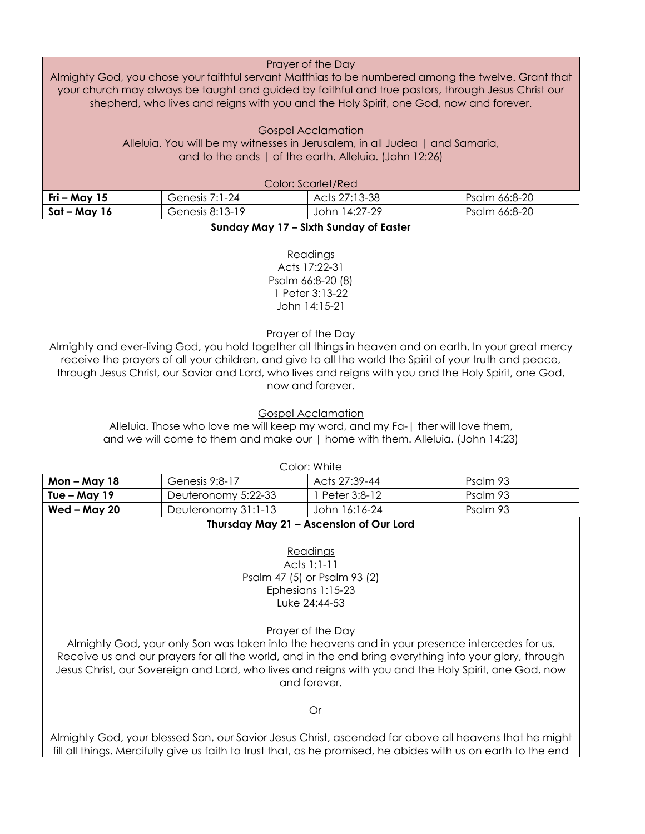| <b>Prayer of the Day</b><br>Almighty God, you chose your faithful servant Matthias to be numbered among the twelve. Grant that<br>your church may always be taught and guided by faithful and true pastors, through Jesus Christ our<br>shepherd, who lives and reigns with you and the Holy Spirit, one God, now and forever.                                                                                                                                                                                                                                          |                                                                                                                                                                                                                         |                                                                                                                                                                     |               |  |
|-------------------------------------------------------------------------------------------------------------------------------------------------------------------------------------------------------------------------------------------------------------------------------------------------------------------------------------------------------------------------------------------------------------------------------------------------------------------------------------------------------------------------------------------------------------------------|-------------------------------------------------------------------------------------------------------------------------------------------------------------------------------------------------------------------------|---------------------------------------------------------------------------------------------------------------------------------------------------------------------|---------------|--|
|                                                                                                                                                                                                                                                                                                                                                                                                                                                                                                                                                                         |                                                                                                                                                                                                                         | <b>Gospel Acclamation</b><br>Alleluia. You will be my witnesses in Jerusalem, in all Judea   and Samaria,<br>and to the ends   of the earth. Alleluia. (John 12:26) |               |  |
|                                                                                                                                                                                                                                                                                                                                                                                                                                                                                                                                                                         |                                                                                                                                                                                                                         |                                                                                                                                                                     |               |  |
| Fri - May $15$                                                                                                                                                                                                                                                                                                                                                                                                                                                                                                                                                          | Genesis 7:1-24                                                                                                                                                                                                          | <b>Color: Scarlet/Red</b><br>Acts 27:13-38                                                                                                                          | Psalm 66:8-20 |  |
| $Sat - May 16$                                                                                                                                                                                                                                                                                                                                                                                                                                                                                                                                                          | Genesis 8:13-19                                                                                                                                                                                                         | John 14:27-29                                                                                                                                                       | Psalm 66:8-20 |  |
|                                                                                                                                                                                                                                                                                                                                                                                                                                                                                                                                                                         |                                                                                                                                                                                                                         | Sunday May 17 - Sixth Sunday of Easter                                                                                                                              |               |  |
|                                                                                                                                                                                                                                                                                                                                                                                                                                                                                                                                                                         |                                                                                                                                                                                                                         | Readings<br>Acts 17:22-31<br>Psalm 66:8-20 (8)<br>1 Peter 3:13-22<br>John 14:15-21                                                                                  |               |  |
| Prayer of the Day<br>Almighty and ever-living God, you hold together all things in heaven and on earth. In your great mercy<br>receive the prayers of all your children, and give to all the world the Spirit of your truth and peace,<br>through Jesus Christ, our Savior and Lord, who lives and reigns with you and the Holy Spirit, one God,<br>now and forever.<br><b>Gospel Acclamation</b><br>Alleluia. Those who love me will keep my word, and my Fa-   ther will love them,<br>and we will come to them and make our   home with them. Alleluia. (John 14:23) |                                                                                                                                                                                                                         |                                                                                                                                                                     |               |  |
|                                                                                                                                                                                                                                                                                                                                                                                                                                                                                                                                                                         |                                                                                                                                                                                                                         | Color: White                                                                                                                                                        |               |  |
| <b>Mon-May 18</b>                                                                                                                                                                                                                                                                                                                                                                                                                                                                                                                                                       | Genesis 9:8-17                                                                                                                                                                                                          | Acts 27:39-44                                                                                                                                                       | Psalm 93      |  |
| Tue $-$ May 19                                                                                                                                                                                                                                                                                                                                                                                                                                                                                                                                                          | Deuteronomy 5:22-33                                                                                                                                                                                                     | 1 Peter 3:8-12                                                                                                                                                      | Psalm 93      |  |
| Wed - May 20                                                                                                                                                                                                                                                                                                                                                                                                                                                                                                                                                            | Deuteronomy 31:1-13                                                                                                                                                                                                     | John 16:16-24<br>Thursday May 21 - Ascension of Our Lord                                                                                                            | Psalm 93      |  |
| Readings<br>Acts 1:1-11<br>Psalm 47 (5) or Psalm 93 (2)<br>Ephesians 1:15-23<br>Luke 24:44-53<br><b>Prayer of the Day</b><br>Almighty God, your only Son was taken into the heavens and in your presence intercedes for us.<br>Receive us and our prayers for all the world, and in the end bring everything into your glory, through<br>Jesus Christ, our Sovereign and Lord, who lives and reigns with you and the Holy Spirit, one God, now<br>and forever.                                                                                                          |                                                                                                                                                                                                                         |                                                                                                                                                                     |               |  |
| Or                                                                                                                                                                                                                                                                                                                                                                                                                                                                                                                                                                      |                                                                                                                                                                                                                         |                                                                                                                                                                     |               |  |
|                                                                                                                                                                                                                                                                                                                                                                                                                                                                                                                                                                         | Almighty God, your blessed Son, our Savior Jesus Christ, ascended far above all heavens that he might<br>fill all things. Mercifully give us faith to trust that, as he promised, he abides with us on earth to the end |                                                                                                                                                                     |               |  |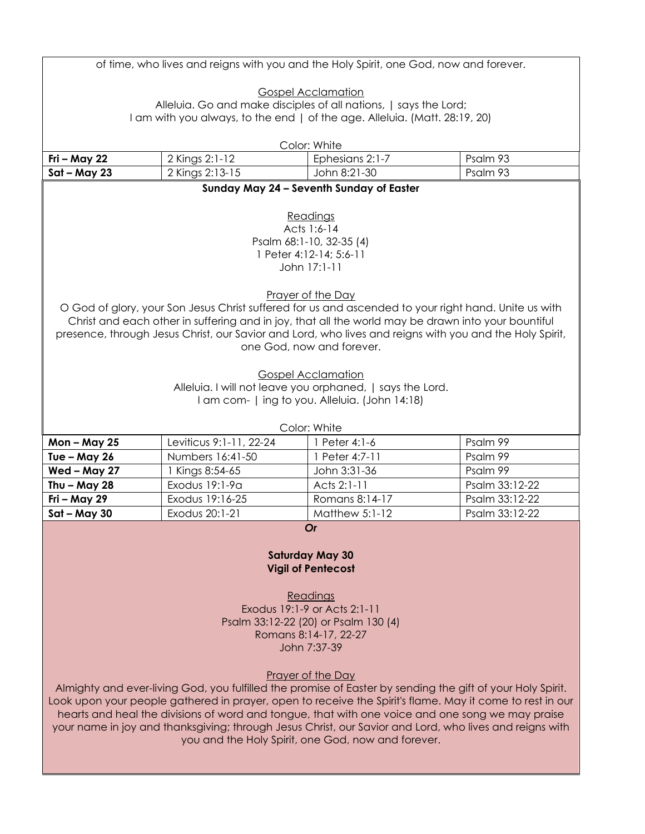|                   |                         | of time, who lives and reigns with you and the Holy Spirit, one God, now and forever.                       |                                                                                                            |
|-------------------|-------------------------|-------------------------------------------------------------------------------------------------------------|------------------------------------------------------------------------------------------------------------|
|                   |                         |                                                                                                             |                                                                                                            |
|                   |                         | <b>Gospel Acclamation</b><br>Alleluia. Go and make disciples of all nations,   says the Lord;               |                                                                                                            |
|                   |                         | I am with you always, to the end   of the age. Alleluia. (Matt. 28:19, 20)                                  |                                                                                                            |
|                   |                         |                                                                                                             |                                                                                                            |
|                   |                         | Color: White                                                                                                |                                                                                                            |
| Fri – May 22      | 2 Kings 2:1-12          | Ephesians 2:1-7                                                                                             | Psalm 93                                                                                                   |
| $Sat - May 23$    | 2 Kings 2:13-15         | John 8:21-30                                                                                                | Psalm 93                                                                                                   |
|                   |                         | Sunday May 24 - Seventh Sunday of Easter                                                                    |                                                                                                            |
|                   |                         | Readings                                                                                                    |                                                                                                            |
|                   |                         | Acts 1:6-14                                                                                                 |                                                                                                            |
|                   |                         | Psalm 68:1-10, 32-35 (4)                                                                                    |                                                                                                            |
|                   |                         | 1 Peter 4:12-14; 5:6-11                                                                                     |                                                                                                            |
|                   |                         | John 17:1-11                                                                                                |                                                                                                            |
|                   |                         |                                                                                                             |                                                                                                            |
|                   |                         | <b>Prayer of the Day</b>                                                                                    | O God of glory, your Son Jesus Christ suffered for us and ascended to your right hand. Unite us with       |
|                   |                         |                                                                                                             | Christ and each other in suffering and in joy, that all the world may be drawn into your bountiful         |
|                   |                         |                                                                                                             | presence, through Jesus Christ, our Savior and Lord, who lives and reigns with you and the Holy Spirit,    |
|                   |                         | one God, now and forever.                                                                                   |                                                                                                            |
|                   |                         |                                                                                                             |                                                                                                            |
|                   |                         | <b>Gospel Acclamation</b>                                                                                   |                                                                                                            |
|                   |                         | Alleluia. I will not leave you orphaned,   says the Lord.<br>I am com-   ing to you. Alleluia. (John 14:18) |                                                                                                            |
|                   |                         |                                                                                                             |                                                                                                            |
|                   |                         | Color: White                                                                                                |                                                                                                            |
|                   | Leviticus 9:1-11, 22-24 |                                                                                                             |                                                                                                            |
| <b>Mon-May 25</b> |                         | 1 Peter 4:1-6                                                                                               | Psalm 99                                                                                                   |
| Tue - May 26      | Numbers 16:41-50        | 1 Peter 4:7-11                                                                                              | Psalm 99                                                                                                   |
| Wed-May 27        | Kings 8:54-65           | John 3:31-36                                                                                                | Psalm 99                                                                                                   |
| Thu $-$ May 28    | Exodus 19:1-9a          | Acts 2:1-11                                                                                                 | Psalm 33:12-22                                                                                             |
| Fri - May 29      | Exodus 19:16-25         | Romans 8:14-17                                                                                              | Psalm 33:12-22                                                                                             |
| $Sat - May 30$    | Exodus 20:1-21          | <b>Matthew 5:1-12</b>                                                                                       | Psalm 33:12-22                                                                                             |
|                   |                         | Or                                                                                                          |                                                                                                            |
|                   |                         |                                                                                                             |                                                                                                            |
|                   |                         | <b>Saturday May 30</b>                                                                                      |                                                                                                            |
|                   |                         | <b>Vigil of Pentecost</b>                                                                                   |                                                                                                            |
|                   |                         | Readings                                                                                                    |                                                                                                            |
|                   |                         | Exodus 19:1-9 or Acts 2:1-11                                                                                |                                                                                                            |
|                   |                         | Psalm 33:12-22 (20) or Psalm 130 (4)                                                                        |                                                                                                            |
|                   |                         | Romans 8:14-17, 22-27                                                                                       |                                                                                                            |
|                   |                         | John 7:37-39                                                                                                |                                                                                                            |
|                   |                         | <b>Prayer of the Day</b>                                                                                    |                                                                                                            |
|                   |                         |                                                                                                             | Almighty and ever-living God, you fulfilled the promise of Easter by sending the gift of your Holy Spirit. |
|                   |                         |                                                                                                             | Look upon your people gathered in prayer, open to receive the Spirit's flame. May it come to rest in our   |
|                   |                         |                                                                                                             | hearts and heal the divisions of word and tongue, that with one voice and one song we may praise           |
|                   |                         | you and the Holy Spirit, one God, now and forever.                                                          | your name in joy and thanksgiving; through Jesus Christ, our Savior and Lord, who lives and reigns with    |